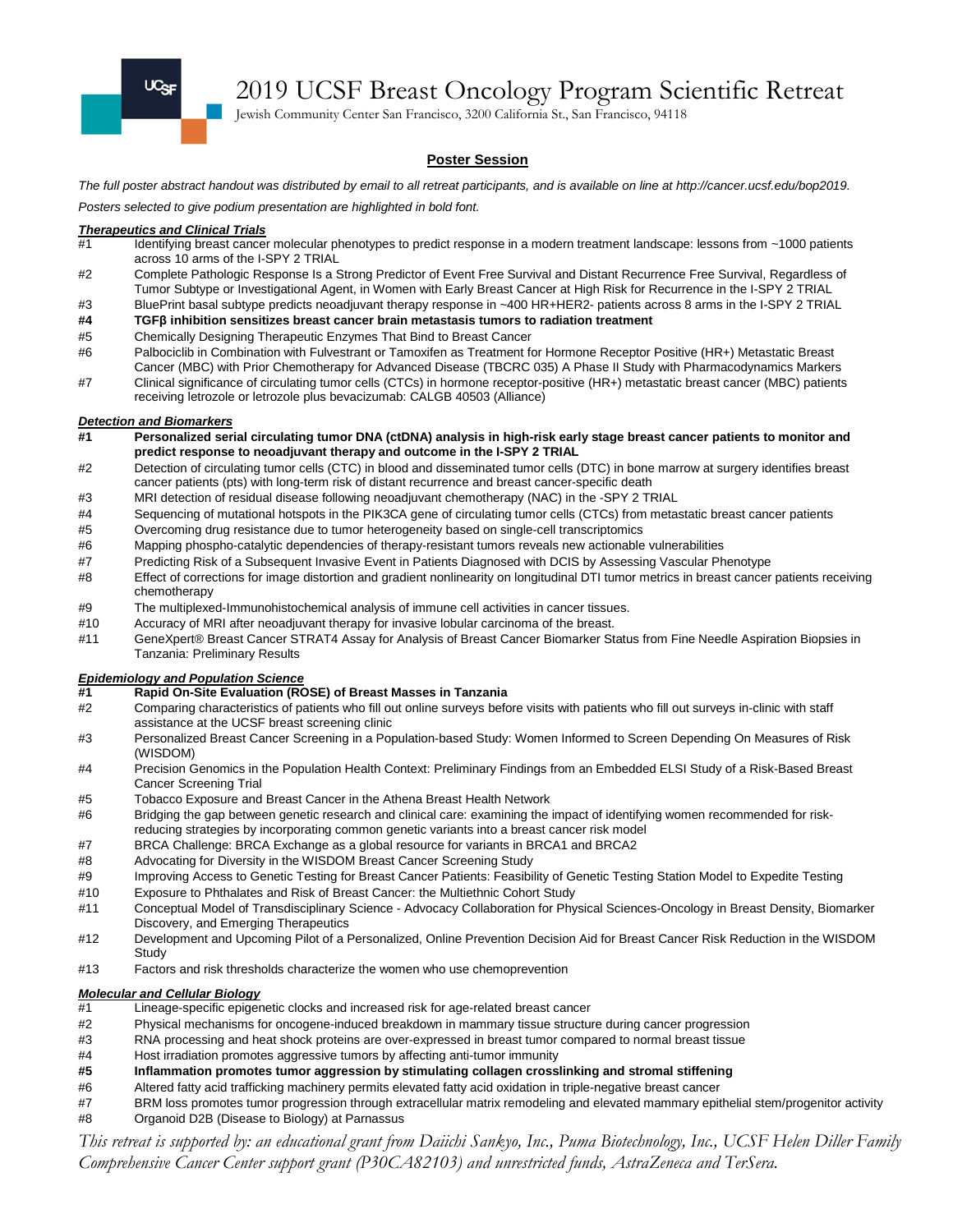

2019 UCSF Breast Oncology Program Scientific Retreat

Jewish Community Center San Francisco, 3200 California St., San Francisco, 94118

#### **Poster Session**

*The full poster abstract handout was distributed by email to all retreat participants, and is available on line at http://cancer.ucsf.edu/bop2019. Posters selected to give podium presentation are highlighted in bold font.*

# *Therapeutics and Clinical Trials*

- Identifying breast cancer molecular phenotypes to predict response in a modern treatment landscape: lessons from ~1000 patients across 10 arms of the I-SPY 2 TRIAL
- #2 Complete Pathologic Response Is a Strong Predictor of Event Free Survival and Distant Recurrence Free Survival, Regardless of Tumor Subtype or Investigational Agent, in Women with Early Breast Cancer at High Risk for Recurrence in the I-SPY 2 TRIAL
- #3 BluePrint basal subtype predicts neoadjuvant therapy response in ~400 HR+HER2- patients across 8 arms in the I-SPY 2 TRIAL
- **#4 TGFβ inhibition sensitizes breast cancer brain metastasis tumors to radiation treatment**
- #5 Chemically Designing Therapeutic Enzymes That Bind to Breast Cancer
- #6 Palbociclib in Combination with Fulvestrant or Tamoxifen as Treatment for Hormone Receptor Positive (HR+) Metastatic Breast Cancer (MBC) with Prior Chemotherapy for Advanced Disease (TBCRC 035) A Phase II Study with Pharmacodynamics Markers
- #7 Clinical significance of circulating tumor cells (CTCs) in hormone receptor-positive (HR+) metastatic breast cancer (MBC) patients receiving letrozole or letrozole plus bevacizumab: CALGB 40503 (Alliance)

#### *Detection and Biomarkers*

- **#1 Personalized serial circulating tumor DNA (ctDNA) analysis in high-risk early stage breast cancer patients to monitor and predict response to neoadjuvant therapy and outcome in the I-SPY 2 TRIAL**
- #2 Detection of circulating tumor cells (CTC) in blood and disseminated tumor cells (DTC) in bone marrow at surgery identifies breast cancer patients (pts) with long-term risk of distant recurrence and breast cancer-specific death
- #3 MRI detection of residual disease following neoadjuvant chemotherapy (NAC) in the -SPY 2 TRIAL
- #4 Sequencing of mutational hotspots in the PIK3CA gene of circulating tumor cells (CTCs) from metastatic breast cancer patients
- #5 Overcoming drug resistance due to tumor heterogeneity based on single-cell transcriptomics
- #6 Mapping phospho-catalytic dependencies of therapy-resistant tumors reveals new actionable vulnerabilities
- #7 Predicting Risk of a Subsequent Invasive Event in Patients Diagnosed with DCIS by Assessing Vascular Phenotype
- #8 Effect of corrections for image distortion and gradient nonlinearity on longitudinal DTI tumor metrics in breast cancer patients receiving chemotherapy
- #9 The multiplexed-Immunohistochemical analysis of immune cell activities in cancer tissues.
- #10 Accuracy of MRI after neoadjuvant therapy for invasive lobular carcinoma of the breast.
- #11 GeneXpert® Breast Cancer STRAT4 Assay for Analysis of Breast Cancer Biomarker Status from Fine Needle Aspiration Biopsies in Tanzania: Preliminary Results

# *Epidemiology and Population Science*

- **#1 Rapid On-Site Evaluation (ROSE) of Breast Masses in Tanzania**
- Comparing characteristics of patients who fill out online surveys before visits with patients who fill out surveys in-clinic with staff assistance at the UCSF breast screening clinic
- #3 Personalized Breast Cancer Screening in a Population-based Study: Women Informed to Screen Depending On Measures of Risk (WISDOM)
- #4 Precision Genomics in the Population Health Context: Preliminary Findings from an Embedded ELSI Study of a Risk-Based Breast Cancer Screening Trial
- #5 Tobacco Exposure and Breast Cancer in the Athena Breast Health Network
- #6 Bridging the gap between genetic research and clinical care: examining the impact of identifying women recommended for riskreducing strategies by incorporating common genetic variants into a breast cancer risk model
- #7 BRCA Challenge: BRCA Exchange as a global resource for variants in BRCA1 and BRCA2
- #8 Advocating for Diversity in the WISDOM Breast Cancer Screening Study
- #9 Improving Access to Genetic Testing for Breast Cancer Patients: Feasibility of Genetic Testing Station Model to Expedite Testing
- #10 Exposure to Phthalates and Risk of Breast Cancer: the Multiethnic Cohort Study
- #11 Conceptual Model of Transdisciplinary Science Advocacy Collaboration for Physical Sciences-Oncology in Breast Density, Biomarker Discovery, and Emerging Therapeutics
- #12 Development and Upcoming Pilot of a Personalized, Online Prevention Decision Aid for Breast Cancer Risk Reduction in the WISDOM **Study**
- #13 Factors and risk thresholds characterize the women who use chemoprevention

#### *Molecular and Cellular Biology*

- #1 Lineage-specific epigenetic clocks and increased risk for age-related breast cancer
- #2 Physical mechanisms for oncogene-induced breakdown in mammary tissue structure during cancer progression
- #3 RNA processing and heat shock proteins are over-expressed in breast tumor compared to normal breast tissue
- #4 Host irradiation promotes aggressive tumors by affecting anti-tumor immunity
- **#5 Inflammation promotes tumor aggression by stimulating collagen crosslinking and stromal stiffening**
- #6 Altered fatty acid trafficking machinery permits elevated fatty acid oxidation in triple-negative breast cancer
- #7 BRM loss promotes tumor progression through extracellular matrix remodeling and elevated mammary epithelial stem/progenitor activity<br>#8 Organoid D2B (Disease to Biology) at Parnassus
- Organoid D2B (Disease to Biology) at Parnassus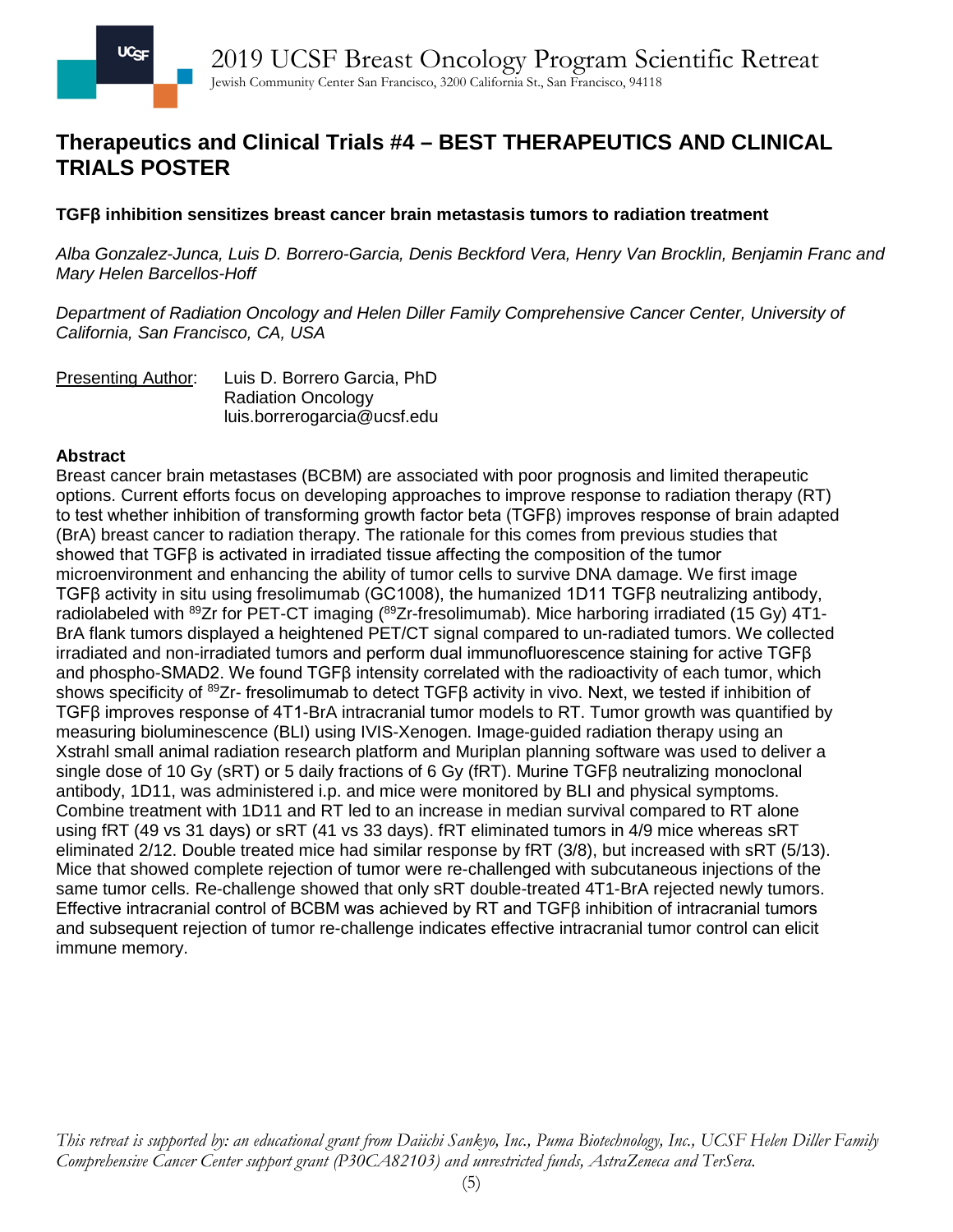# **Therapeutics and Clinical Trials #4 – BEST THERAPEUTICS AND CLINICAL TRIALS POSTER**

## **TGFβ inhibition sensitizes breast cancer brain metastasis tumors to radiation treatment**

*Alba Gonzalez-Junca, Luis D. Borrero-Garcia, Denis Beckford Vera, Henry Van Brocklin, Benjamin Franc and Mary Helen Barcellos-Hoff*

*Department of Radiation Oncology and Helen Diller Family Comprehensive Cancer Center, University of California, San Francisco, CA, USA*

Presenting Author: Luis D. Borrero Garcia, PhD Radiation Oncology luis.borrerogarcia@ucsf.edu

### **Abstract**

Breast cancer brain metastases (BCBM) are associated with poor prognosis and limited therapeutic options. Current efforts focus on developing approaches to improve response to radiation therapy (RT) to test whether inhibition of transforming growth factor beta (TGFβ) improves response of brain adapted (BrA) breast cancer to radiation therapy. The rationale for this comes from previous studies that showed that TGFβ is activated in irradiated tissue affecting the composition of the tumor microenvironment and enhancing the ability of tumor cells to survive DNA damage. We first image TGFβ activity in situ using fresolimumab (GC1008), the humanized 1D11 TGFβ neutralizing antibody, radiolabeled with <sup>89</sup>Zr for PET-CT imaging (<sup>89</sup>Zr-fresolimumab). Mice harboring irradiated (15 Gy) 4T1-BrA flank tumors displayed a heightened PET/CT signal compared to un-radiated tumors. We collected irradiated and non-irradiated tumors and perform dual immunofluorescence staining for active TGFβ and phospho-SMAD2. We found  $TGF\beta$  intensity correlated with the radioactivity of each tumor, which shows specificity of <sup>89</sup>Zr- fresolimumab to detect TGFβ activity in vivo. Next, we tested if inhibition of TGFβ improves response of 4T1-BrA intracranial tumor models to RT. Tumor growth was quantified by measuring bioluminescence (BLI) using IVIS-Xenogen. Image-guided radiation therapy using an Xstrahl small animal radiation research platform and Muriplan planning software was used to deliver a single dose of 10 Gy (sRT) or 5 daily fractions of 6 Gy (fRT). Murine TGFβ neutralizing monoclonal antibody, 1D11, was administered i.p. and mice were monitored by BLI and physical symptoms. Combine treatment with 1D11 and RT led to an increase in median survival compared to RT alone using fRT (49 vs 31 days) or sRT (41 vs 33 days). fRT eliminated tumors in 4/9 mice whereas sRT eliminated 2/12. Double treated mice had similar response by fRT (3/8), but increased with sRT (5/13). Mice that showed complete rejection of tumor were re-challenged with subcutaneous injections of the same tumor cells. Re-challenge showed that only sRT double-treated 4T1-BrA rejected newly tumors. Effective intracranial control of BCBM was achieved by RT and TGFβ inhibition of intracranial tumors and subsequent rejection of tumor re-challenge indicates effective intracranial tumor control can elicit immune memory.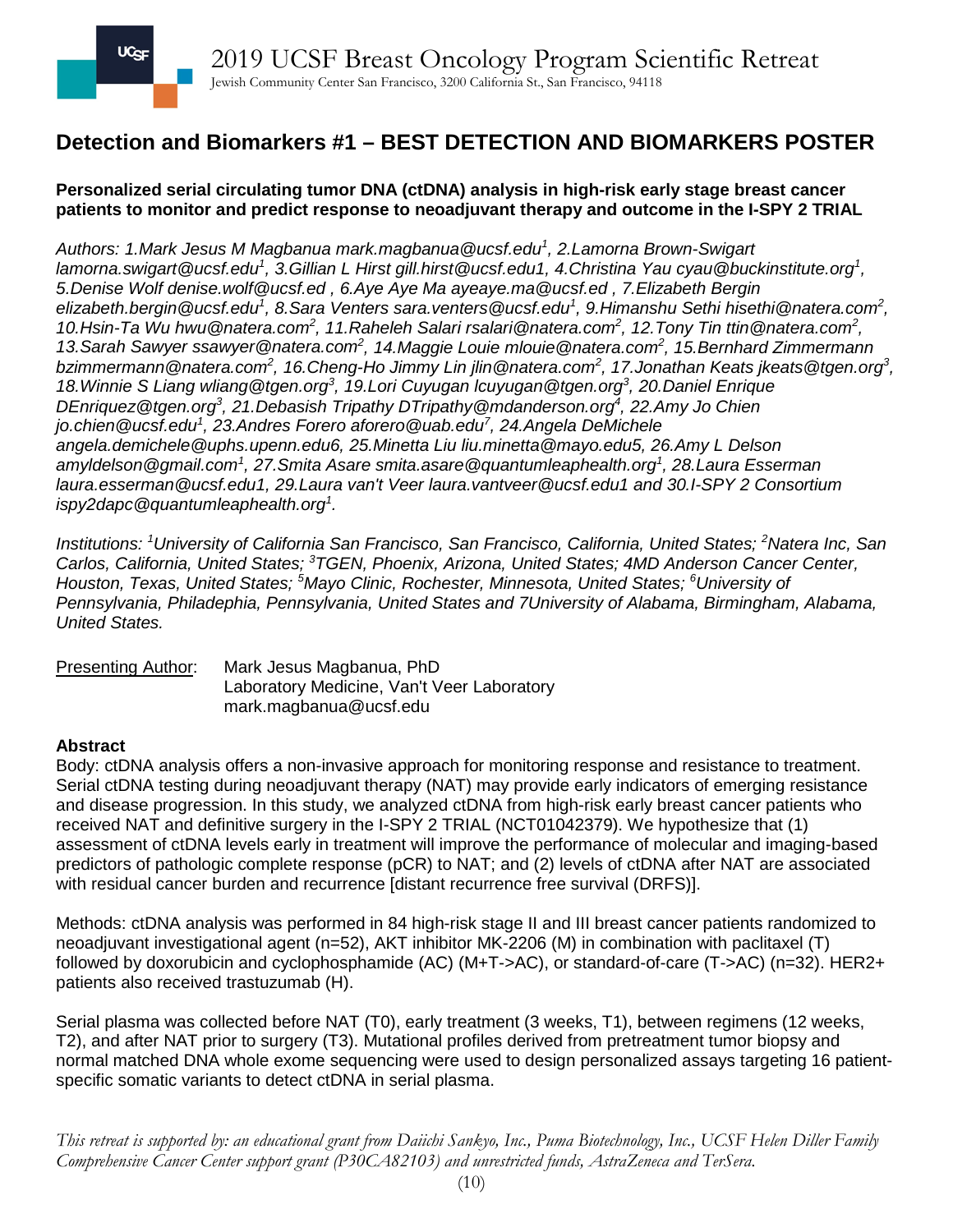# **Detection and Biomarkers #1 – BEST DETECTION AND BIOMARKERS POSTER**

### **Personalized serial circulating tumor DNA (ctDNA) analysis in high-risk early stage breast cancer patients to monitor and predict response to neoadjuvant therapy and outcome in the I-SPY 2 TRIAL**

*Authors: 1.Mark Jesus M Magbanua mark.magbanua@ucsf.edu<sup>1</sup> , 2.Lamorna Brown-Swigart lamorna.swigart@ucsf.edu<sup>1</sup> , 3.Gillian L Hirst gill.hirst@ucsf.edu1, 4.Christina Yau cyau@buckinstitute.org<sup>1</sup> , 5.Denise Wolf denise.wolf@ucsf.ed , 6.Aye Aye Ma ayeaye.ma@ucsf.ed , 7.Elizabeth Bergin [elizabeth.bergin@ucsf.edu](mailto:elizabeth.bergin@ucsf.edu1)<sup>1</sup> , 8.Sara Venters sara.venters@ucsf.edu<sup>1</sup> , 9.Himanshu Sethi hisethi@natera.com<sup>2</sup> , 10.Hsin-Ta Wu hwu@natera.com<sup>2</sup> , 11.Raheleh Salari rsalari@natera.com2 , 12.Tony Tin ttin@natera.com<sup>2</sup> , 13.Sarah Sawyer ssawyer@natera.com<sup>2</sup> , 14.Maggie Louie mlouie@natera.com<sup>2</sup> , 15.Bernhard Zimmermann bzimmermann@natera.com<sup>2</sup> , 16.Cheng-Ho Jimmy Lin jlin@natera.com<sup>2</sup> , 17.Jonathan Keats jkeats@tgen.org<sup>3</sup> , 18.Winnie S Liang wliang@tgen.org<sup>3</sup> , 19.Lori Cuyugan lcuyugan@tgen.org<sup>3</sup> , 20.Daniel Enrique*  DEnriquez@tgen.org<sup>3</sup>, 21.Debasish Tripathy DTripathy@mdanderson.org<sup>4</sup>, 22.Amy Jo Chien *jo.chien@ucsf.edu<sup>1</sup> , 23.Andres Forero aforero@uab.edu<sup>7</sup> , 24.Angela DeMichele angela.demichele@uphs.upenn.edu6, 25.Minetta Liu liu.minetta@mayo.edu5, 26.Amy L Delson amyldelson@gmail.com<sup>1</sup> , 27.Smita Asare smita.asare@quantumleaphealth.org<sup>1</sup> , 28.Laura Esserman laura.esserman@ucsf.edu1, 29.Laura van't Veer laura.vantveer@ucsf.edu1 and 30.I-SPY 2 Consortium ispy2dapc@quantumleaphealth.org<sup>1</sup> .*

*Institutions: <sup>1</sup> University of California San Francisco, San Francisco, California, United States; <sup>2</sup> Natera Inc, San Carlos, California, United States; <sup>3</sup> TGEN, Phoenix, Arizona, United States; 4MD Anderson Cancer Center, Houston, Texas, United States; <sup>5</sup> Mayo Clinic, Rochester, Minnesota, United States; <sup>6</sup> University of Pennsylvania, Philadephia, Pennsylvania, United States and 7University of Alabama, Birmingham, Alabama, United States.*

Presenting Author: Mark Jesus Magbanua, PhD Laboratory Medicine, Van't Veer Laboratory mark.magbanua@ucsf.edu

### **Abstract**

Body: ctDNA analysis offers a non-invasive approach for monitoring response and resistance to treatment. Serial ctDNA testing during neoadjuvant therapy (NAT) may provide early indicators of emerging resistance and disease progression. In this study, we analyzed ctDNA from high-risk early breast cancer patients who received NAT and definitive surgery in the I-SPY 2 TRIAL (NCT01042379). We hypothesize that (1) assessment of ctDNA levels early in treatment will improve the performance of molecular and imaging-based predictors of pathologic complete response (pCR) to NAT; and (2) levels of ctDNA after NAT are associated with residual cancer burden and recurrence [distant recurrence free survival (DRFS)].

Methods: ctDNA analysis was performed in 84 high-risk stage II and III breast cancer patients randomized to neoadjuvant investigational agent (n=52), AKT inhibitor MK-2206 (M) in combination with paclitaxel (T) followed by doxorubicin and cyclophosphamide (AC) (M+T->AC), or standard-of-care (T->AC) (n=32). HER2+ patients also received trastuzumab (H).

Serial plasma was collected before NAT (T0), early treatment (3 weeks, T1), between regimens (12 weeks, T2), and after NAT prior to surgery (T3). Mutational profiles derived from pretreatment tumor biopsy and normal matched DNA whole exome sequencing were used to design personalized assays targeting 16 patientspecific somatic variants to detect ctDNA in serial plasma.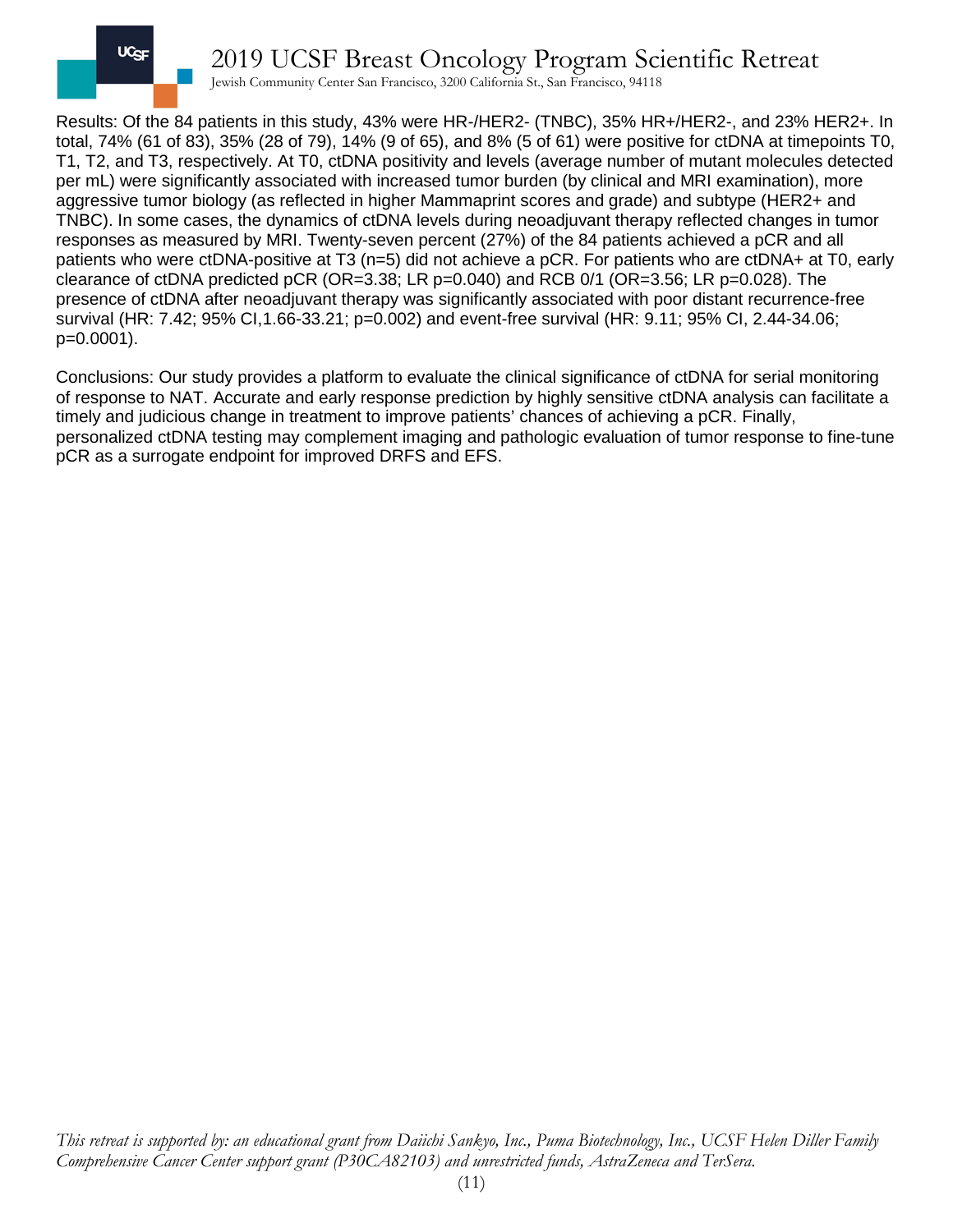

2019 UCSF Breast Oncology Program Scientific Retreat

Jewish Community Center San Francisco, 3200 California St., San Francisco, 94118

Results: Of the 84 patients in this study, 43% were HR-/HER2- (TNBC), 35% HR+/HER2-, and 23% HER2+. In total, 74% (61 of 83), 35% (28 of 79), 14% (9 of 65), and 8% (5 of 61) were positive for ctDNA at timepoints T0, T1, T2, and T3, respectively. At T0, ctDNA positivity and levels (average number of mutant molecules detected per mL) were significantly associated with increased tumor burden (by clinical and MRI examination), more aggressive tumor biology (as reflected in higher Mammaprint scores and grade) and subtype (HER2+ and TNBC). In some cases, the dynamics of ctDNA levels during neoadjuvant therapy reflected changes in tumor responses as measured by MRI. Twenty-seven percent (27%) of the 84 patients achieved a pCR and all patients who were ctDNA-positive at T3 (n=5) did not achieve a pCR. For patients who are ctDNA+ at T0, early clearance of ctDNA predicted pCR (OR=3.38; LR p=0.040) and RCB 0/1 (OR=3.56; LR p=0.028). The presence of ctDNA after neoadjuvant therapy was significantly associated with poor distant recurrence-free survival (HR: 7.42; 95% CI,1.66-33.21; p=0.002) and event-free survival (HR: 9.11; 95% CI, 2.44-34.06; p=0.0001).

Conclusions: Our study provides a platform to evaluate the clinical significance of ctDNA for serial monitoring of response to NAT. Accurate and early response prediction by highly sensitive ctDNA analysis can facilitate a timely and judicious change in treatment to improve patients' chances of achieving a pCR. Finally, personalized ctDNA testing may complement imaging and pathologic evaluation of tumor response to fine-tune pCR as a surrogate endpoint for improved DRFS and EFS.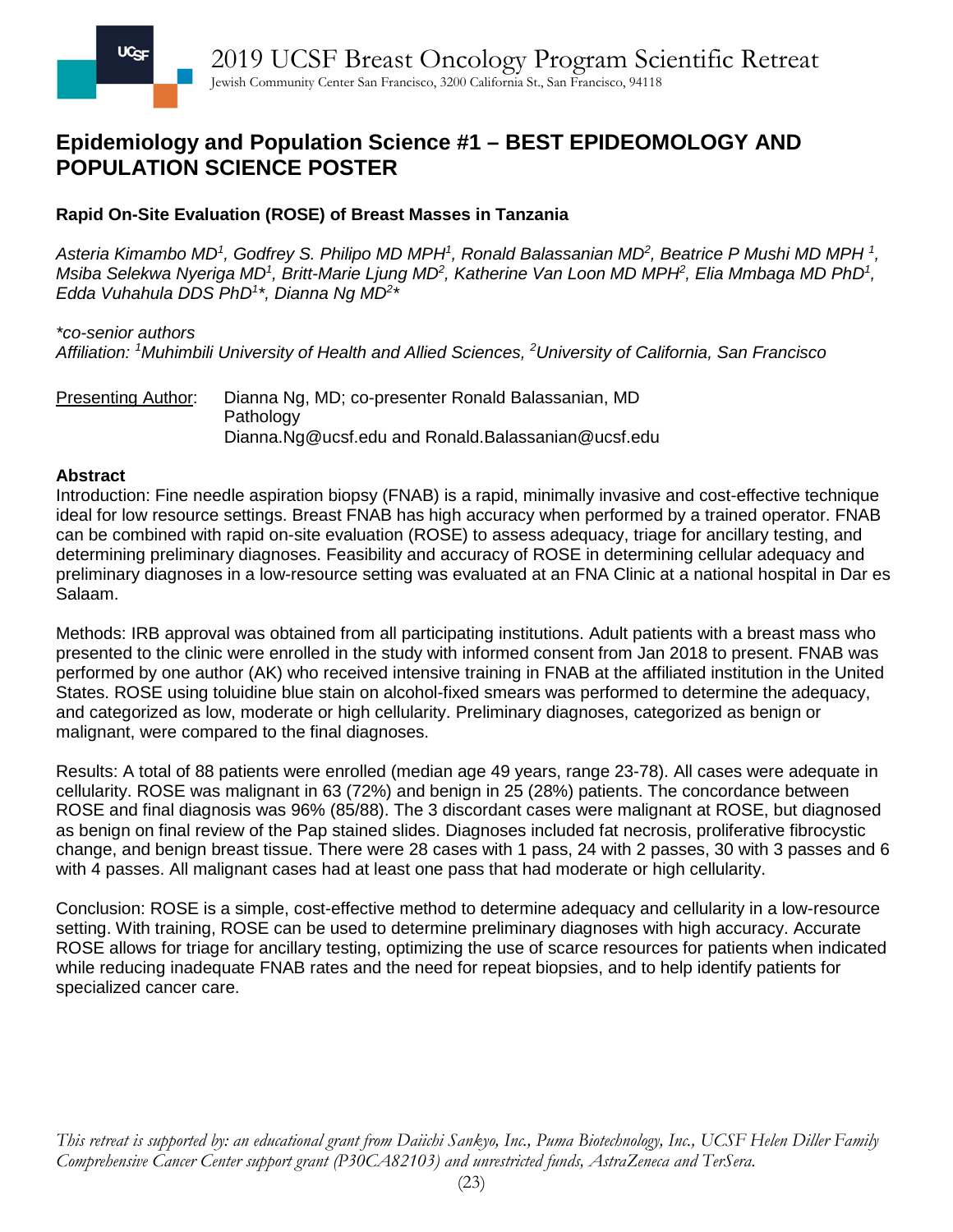## **Epidemiology and Population Science #1 – BEST EPIDEOMOLOGY AND POPULATION SCIENCE POSTER**

## **Rapid On-Site Evaluation (ROSE) of Breast Masses in Tanzania**

Asteria Kimambo MD<sup>1</sup>, Godfrey S. Philipo MD MPH<sup>1</sup>, Ronald Balassanian MD<sup>2</sup>, Beatrice P Mushi MD MPH <sup>1</sup>, *Msiba Selekwa Nyeriga MD<sup>1</sup>, Britt-Marie Ljung MD<sup>2</sup>, Katherine Van Loon MD MPH<sup>2</sup>, Elia Mmbaga MD PhD<sup>1</sup>, Edda Vuhahula DDS PhD1 \*, Dianna Ng MD2 \**

### *\*co-senior authors*

*Affiliation: <sup>1</sup> Muhimbili University of Health and Allied Sciences, <sup>2</sup> University of California, San Francisco*

Presenting Author: Dianna Ng, MD; co-presenter Ronald Balassanian, MD Pathology [Dianna.Ng@ucsf.edu](mailto:Dianna.Ng@ucsf.edu) and Ronald.Balassanian@ucsf.edu

### **Abstract**

Introduction: Fine needle aspiration biopsy (FNAB) is a rapid, minimally invasive and cost-effective technique ideal for low resource settings. Breast FNAB has high accuracy when performed by a trained operator. FNAB can be combined with rapid on-site evaluation (ROSE) to assess adequacy, triage for ancillary testing, and determining preliminary diagnoses. Feasibility and accuracy of ROSE in determining cellular adequacy and preliminary diagnoses in a low-resource setting was evaluated at an FNA Clinic at a national hospital in Dar es Salaam.

Methods: IRB approval was obtained from all participating institutions. Adult patients with a breast mass who presented to the clinic were enrolled in the study with informed consent from Jan 2018 to present. FNAB was performed by one author (AK) who received intensive training in FNAB at the affiliated institution in the United States. ROSE using toluidine blue stain on alcohol-fixed smears was performed to determine the adequacy, and categorized as low, moderate or high cellularity. Preliminary diagnoses, categorized as benign or malignant, were compared to the final diagnoses.

Results: A total of 88 patients were enrolled (median age 49 years, range 23-78). All cases were adequate in cellularity. ROSE was malignant in 63 (72%) and benign in 25 (28%) patients. The concordance between ROSE and final diagnosis was 96% (85/88). The 3 discordant cases were malignant at ROSE, but diagnosed as benign on final review of the Pap stained slides. Diagnoses included fat necrosis, proliferative fibrocystic change, and benign breast tissue. There were 28 cases with 1 pass, 24 with 2 passes, 30 with 3 passes and 6 with 4 passes. All malignant cases had at least one pass that had moderate or high cellularity.

Conclusion: ROSE is a simple, cost-effective method to determine adequacy and cellularity in a low-resource setting. With training, ROSE can be used to determine preliminary diagnoses with high accuracy. Accurate ROSE allows for triage for ancillary testing, optimizing the use of scarce resources for patients when indicated while reducing inadequate FNAB rates and the need for repeat biopsies, and to help identify patients for specialized cancer care.